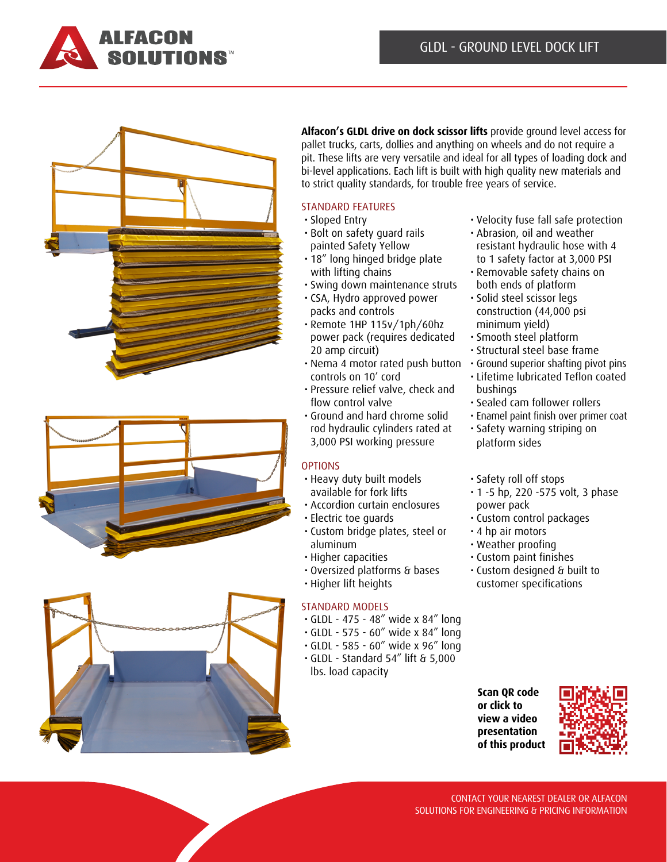







**Alfacon's GLDL drive on dock scissor lifts** provide ground level access for pallet trucks, carts, dollies and anything on wheels and do not require a pit. These lifts are very versatile and ideal for all types of loading dock and bi-level applications. Each lift is built with high quality new materials and to strict quality standards, for trouble free years of service.

### STANDARD FEATURES

- Sloped Entry
- Bolt on safety guard rails painted Safety Yellow
- 18" long hinged bridge plate with lifting chains
- Swing down maintenance struts
- CSA, Hydro approved power packs and controls
- Remote 1HP 115v/1ph/60hz power pack (requires dedicated 20 amp circuit)
- Nema 4 motor rated push button controls on 10' cord
- Pressure relief valve, check and flow control valve
- Ground and hard chrome solid rod hydraulic cylinders rated at 3,000 PSI working pressure

# **OPTIONS**

- Heavy duty built models available for fork lifts
- Accordion curtain enclosures
- Electric toe guards
- Custom bridge plates, steel or aluminum
- Higher capacities
- Oversized platforms & bases
- Higher lift heights

# STANDARD MODELS

- GLDL 475 48" wide x 84" long
- GLDL 575 60" wide x 84" long
- GLDL 585 60" wide x 96" long
- GLDL Standard 54" lift & 5,000
- lbs. load capacity
- Velocity fuse fall safe protection
- Abrasion, oil and weather resistant hydraulic hose with 4 to 1 safety factor at 3,000 PSI
- Removable safety chains on both ends of platform
- Solid steel scissor legs construction (44,000 psi minimum yield)
- Smooth steel platform
- Structural steel base frame
- Ground superior shafting pivot pins
- Lifetime lubricated Teflon coated bushings
- Sealed cam follower rollers
- Enamel paint finish over primer coat
- Safety warning striping on platform sides
- Safety roll off stops
- 1 -5 hp, 220 -575 volt, 3 phase power pack
- Custom control packages
- 4 hp air motors
- Weather proofing
- Custom paint finishes
- Custom designed & built to customer specifications

**Scan QR code or click to view a video presentation [of this product](https://www.youtube.com/watch?v=R79OtOuuATI)**